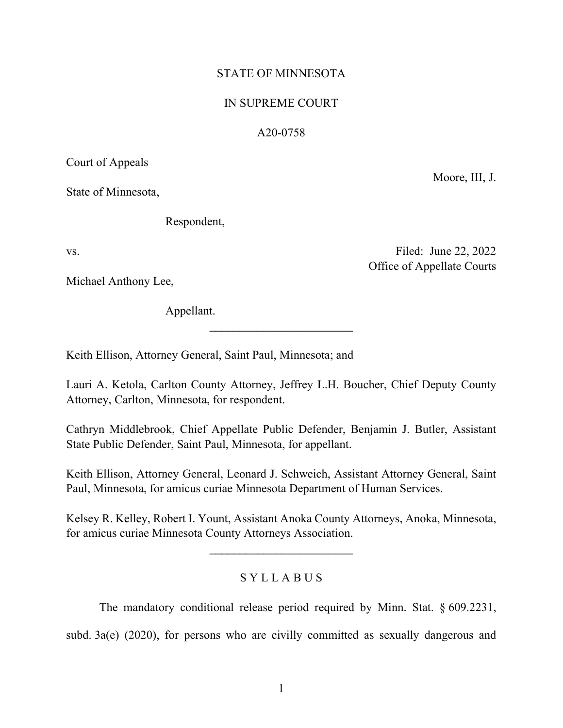## STATE OF MINNESOTA

## IN SUPREME COURT

## A20-0758

Court of Appeals

State of Minnesota,

Respondent,

vs. Filed: June 22, 2022 Office of Appellate Courts

Moore, III, J.

Michael Anthony Lee,

Appellant.

Keith Ellison, Attorney General, Saint Paul, Minnesota; and

Lauri A. Ketola, Carlton County Attorney, Jeffrey L.H. Boucher, Chief Deputy County Attorney, Carlton, Minnesota, for respondent.

**\_\_\_\_\_\_\_\_\_\_\_\_\_\_\_\_\_\_\_\_\_\_\_\_**

Cathryn Middlebrook, Chief Appellate Public Defender, Benjamin J. Butler, Assistant State Public Defender, Saint Paul, Minnesota, for appellant.

Keith Ellison, Attorney General, Leonard J. Schweich, Assistant Attorney General, Saint Paul, Minnesota, for amicus curiae Minnesota Department of Human Services.

Kelsey R. Kelley, Robert I. Yount, Assistant Anoka County Attorneys, Anoka, Minnesota, for amicus curiae Minnesota County Attorneys Association.

**\_\_\_\_\_\_\_\_\_\_\_\_\_\_\_\_\_\_\_\_\_\_\_\_**

# S Y L L A B U S

The mandatory conditional release period required by Minn. Stat. § 609.2231, subd. 3a(e) (2020), for persons who are civilly committed as sexually dangerous and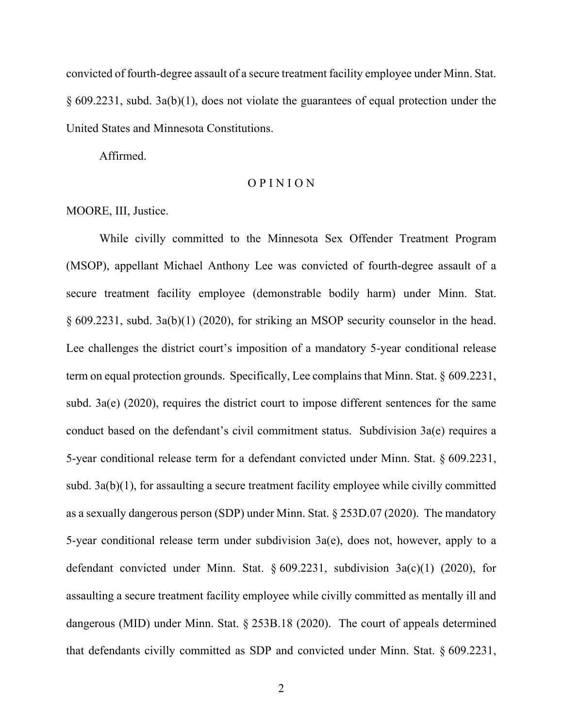convicted of fourth-degree assault of a secure treatment facility employee under Minn. Stat. § 609.2231, subd. 3a(b)(1), does not violate the guarantees of equal protection under the United States and Minnesota Constitutions.

Affirmed.

## O P I N I O N

### MOORE, III, Justice.

While civilly committed to the Minnesota Sex Offender Treatment Program (MSOP), appellant Michael Anthony Lee was convicted of fourth-degree assault of a secure treatment facility employee (demonstrable bodily harm) under Minn. Stat. § 609.2231, subd. 3a(b)(1) (2020), for striking an MSOP security counselor in the head. Lee challenges the district court's imposition of a mandatory 5-year conditional release term on equal protection grounds. Specifically, Lee complains that Minn. Stat. § 609.2231, subd. 3a(e) (2020), requires the district court to impose different sentences for the same conduct based on the defendant's civil commitment status. Subdivision 3a(e) requires a 5-year conditional release term for a defendant convicted under Minn. Stat. § 609.2231, subd. 3a(b)(1), for assaulting a secure treatment facility employee while civilly committed as a sexually dangerous person (SDP) under Minn. Stat. § 253D.07 (2020). The mandatory 5-year conditional release term under subdivision 3a(e), does not, however, apply to a defendant convicted under Minn. Stat. § 609.2231, subdivision 3a(c)(1) (2020), for assaulting a secure treatment facility employee while civilly committed as mentally ill and dangerous (MID) under Minn. Stat. § 253B.18 (2020). The court of appeals determined that defendants civilly committed as SDP and convicted under Minn. Stat. § 609.2231,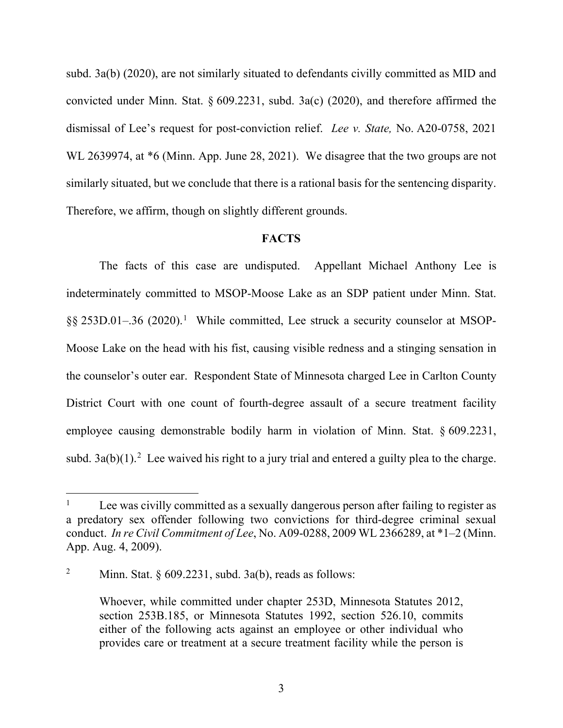subd. 3a(b) (2020), are not similarly situated to defendants civilly committed as MID and convicted under Minn. Stat. § 609.2231, subd. 3a(c) (2020), and therefore affirmed the dismissal of Lee's request for post-conviction relief. *Lee v. State,* No. A20-0758, 2021 WL 2639974, at \*6 (Minn. App. June 28, 2021). We disagree that the two groups are not similarly situated, but we conclude that there is a rational basis for the sentencing disparity. Therefore, we affirm, though on slightly different grounds.

#### **FACTS**

The facts of this case are undisputed. Appellant Michael Anthony Lee is indeterminately committed to MSOP-Moose Lake as an SDP patient under Minn. Stat. §§ 253D.0[1](#page-2-0)–.36 (2020).<sup>1</sup> While committed, Lee struck a security counselor at MSOP-Moose Lake on the head with his fist, causing visible redness and a stinging sensation in the counselor's outer ear. Respondent State of Minnesota charged Lee in Carlton County District Court with one count of fourth-degree assault of a secure treatment facility employee causing demonstrable bodily harm in violation of Minn. Stat. § 609.2231, subd. 3a(b)(1).<sup>[2](#page-2-1)</sup> Lee waived his right to a jury trial and entered a guilty plea to the charge.

<span id="page-2-0"></span><sup>&</sup>lt;sup>1</sup> Lee was civilly committed as a sexually dangerous person after failing to register as a predatory sex offender following two convictions for third-degree criminal sexual conduct. *In re Civil Commitment of Lee*, No. A09-0288, 2009 WL 2366289, at \*1–2 (Minn. App. Aug. 4, 2009).

<span id="page-2-1"></span><sup>&</sup>lt;sup>2</sup> Minn. Stat.  $\S 609.2231$ , subd. 3a(b), reads as follows:

Whoever, while committed under chapter 253D, Minnesota Statutes 2012, section 253B.185, or Minnesota Statutes 1992, section 526.10, commits either of the following acts against an employee or other individual who provides care or treatment at a secure treatment facility while the person is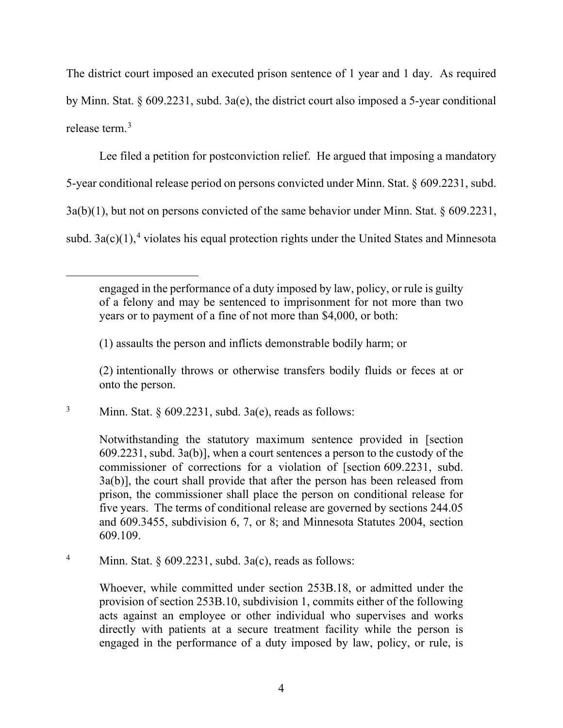The district court imposed an executed prison sentence of 1 year and 1 day. As required by Minn. Stat. § 609.2231, subd. 3a(e), the district court also imposed a 5-year conditional release term.[3](#page-3-0)

Lee filed a petition for postconviction relief. He argued that imposing a mandatory

5-year conditional release period on persons convicted under Minn. Stat. § 609.2231, subd.

3a(b)(1), but not on persons convicted of the same behavior under Minn. Stat. § 609.2231,

subd.  $3a(c)(1)$ ,<sup>[4](#page-3-1)</sup> violates his equal protection rights under the United States and Minnesota

(1) assaults the person and inflicts demonstrable bodily harm; or

(2) intentionally throws or otherwise transfers bodily fluids or feces at or onto the person.

<span id="page-3-0"></span><sup>3</sup> Minn. Stat.  $\S 609.2231$ , subd. 3a(e), reads as follows:

Notwithstanding the statutory maximum sentence provided in [section 609.2231, subd. 3a(b)], when a court sentences a person to the custody of the commissioner of corrections for a violation of [section 609.2231, subd. 3a(b)], the court shall provide that after the person has been released from prison, the commissioner shall place the person on conditional release for five years. The terms of conditional release are governed by sections 244.05 and 609.3455, subdivision 6, 7, or 8; and Minnesota Statutes 2004, section 609.109.

<span id="page-3-1"></span><sup>4</sup> Minn. Stat.  $\S 609.2231$ , subd. 3a(c), reads as follows:

Whoever, while committed under section 253B.18, or admitted under the provision of section 253B.10, subdivision 1, commits either of the following acts against an employee or other individual who supervises and works directly with patients at a secure treatment facility while the person is engaged in the performance of a duty imposed by law, policy, or rule, is

engaged in the performance of a duty imposed by law, policy, or rule is guilty of a felony and may be sentenced to imprisonment for not more than two years or to payment of a fine of not more than \$4,000, or both: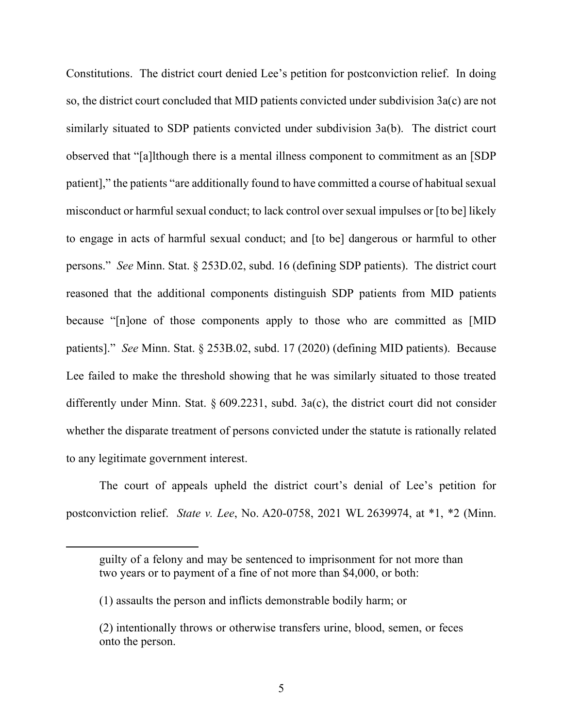Constitutions. The district court denied Lee's petition for postconviction relief. In doing so, the district court concluded that MID patients convicted under subdivision 3a(c) are not similarly situated to SDP patients convicted under subdivision 3a(b). The district court observed that "[a]lthough there is a mental illness component to commitment as an [SDP patient]," the patients "are additionally found to have committed a course of habitual sexual misconduct or harmful sexual conduct; to lack control over sexual impulses or [to be] likely to engage in acts of harmful sexual conduct; and [to be] dangerous or harmful to other persons." *See* Minn. Stat. § 253D.02, subd. 16 (defining SDP patients). The district court reasoned that the additional components distinguish SDP patients from MID patients because "[n]one of those components apply to those who are committed as [MID patients]." *See* Minn. Stat. § 253B.02, subd. 17 (2020) (defining MID patients). Because Lee failed to make the threshold showing that he was similarly situated to those treated differently under Minn. Stat. § 609.2231, subd. 3a(c), the district court did not consider whether the disparate treatment of persons convicted under the statute is rationally related to any legitimate government interest.

The court of appeals upheld the district court's denial of Lee's petition for postconviction relief. *State v. Lee*, No. A20-0758, 2021 WL 2639974, at \*1, \*2 (Minn.

guilty of a felony and may be sentenced to imprisonment for not more than two years or to payment of a fine of not more than \$4,000, or both:

<sup>(1)</sup> assaults the person and inflicts demonstrable bodily harm; or

<sup>(2)</sup> intentionally throws or otherwise transfers urine, blood, semen, or feces onto the person.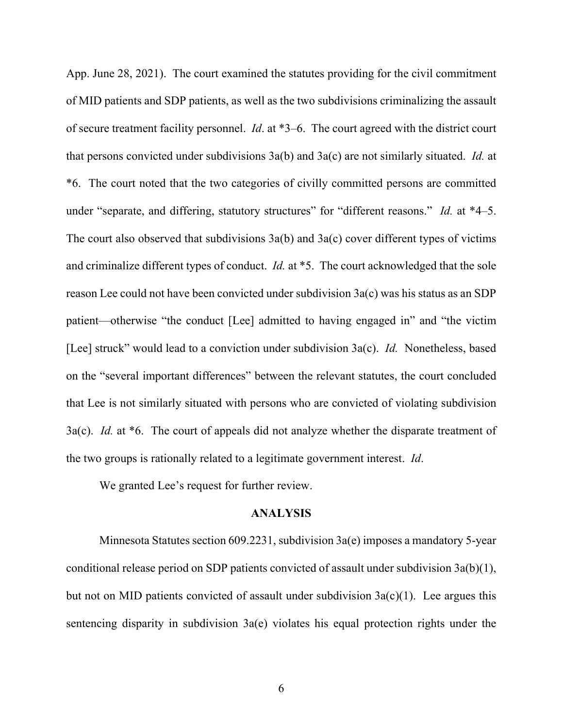App. June 28, 2021). The court examined the statutes providing for the civil commitment of MID patients and SDP patients, as well as the two subdivisions criminalizing the assault of secure treatment facility personnel. *Id*. at \*3–6. The court agreed with the district court that persons convicted under subdivisions 3a(b) and 3a(c) are not similarly situated. *Id.* at \*6. The court noted that the two categories of civilly committed persons are committed under "separate, and differing, statutory structures" for "different reasons." *Id.* at \*4–5. The court also observed that subdivisions 3a(b) and 3a(c) cover different types of victims and criminalize different types of conduct. *Id.* at \*5. The court acknowledged that the sole reason Lee could not have been convicted under subdivision 3a(c) was his status as an SDP patient—otherwise "the conduct [Lee] admitted to having engaged in" and "the victim [Lee] struck" would lead to a conviction under subdivision 3a(c). *Id.* Nonetheless, based on the "several important differences" between the relevant statutes, the court concluded that Lee is not similarly situated with persons who are convicted of violating subdivision 3a(c). *Id.* at \*6. The court of appeals did not analyze whether the disparate treatment of the two groups is rationally related to a legitimate government interest. *Id*.

We granted Lee's request for further review.

#### **ANALYSIS**

Minnesota Statutes section 609.2231, subdivision 3a(e) imposes a mandatory 5-year conditional release period on SDP patients convicted of assault under subdivision 3a(b)(1), but not on MID patients convicted of assault under subdivision  $3a(c)(1)$ . Lee argues this sentencing disparity in subdivision 3a(e) violates his equal protection rights under the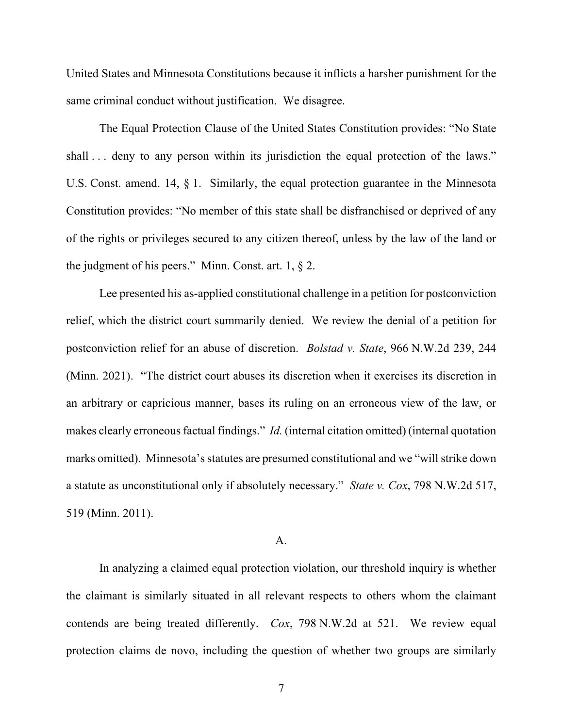United States and Minnesota Constitutions because it inflicts a harsher punishment for the same criminal conduct without justification. We disagree.

The Equal Protection Clause of the United States Constitution provides: "No State shall ... deny to any person within its jurisdiction the equal protection of the laws." U.S. Const. amend. 14, § 1. Similarly, the equal protection guarantee in the Minnesota Constitution provides: "No member of this state shall be disfranchised or deprived of any of the rights or privileges secured to any citizen thereof, unless by the law of the land or the judgment of his peers." Minn. Const. art.  $1, § 2$ .

Lee presented his as-applied constitutional challenge in a petition for postconviction relief, which the district court summarily denied. We review the denial of a petition for postconviction relief for an abuse of discretion. *Bolstad v. State*, 966 N.W.2d 239, 244 (Minn. 2021). "The district court abuses its discretion when it exercises its discretion in an arbitrary or capricious manner, bases its ruling on an erroneous view of the law, or makes clearly erroneous factual findings." *Id.* (internal citation omitted) (internal quotation marks omitted).Minnesota's statutes are presumed constitutional and we "will strike down a statute as unconstitutional only if absolutely necessary." *State v. Cox*, 798 N.W.2d 517, 519 (Minn. 2011).

## A.

In analyzing a claimed equal protection violation, our threshold inquiry is whether the claimant is similarly situated in all relevant respects to others whom the claimant contends are being treated differently. *Cox*, 798 N.W.2d at 521. We review equal protection claims de novo, including the question of whether two groups are similarly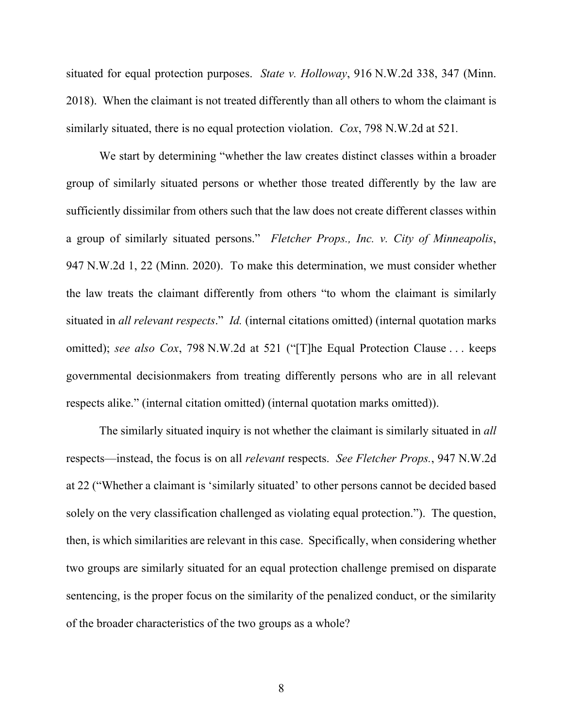situated for equal protection purposes. *State v. Holloway*, 916 N.W.2d 338, 347 (Minn. 2018). When the claimant is not treated differently than all others to whom the claimant is similarly situated, there is no equal protection violation. *Cox*, 798 N.W.2d at 521*.*

We start by determining "whether the law creates distinct classes within a broader group of similarly situated persons or whether those treated differently by the law are sufficiently dissimilar from others such that the law does not create different classes within a group of similarly situated persons." *Fletcher Props., Inc. v. City of Minneapolis*, 947 N.W.2d 1, 22 (Minn. 2020). To make this determination, we must consider whether the law treats the claimant differently from others "to whom the claimant is similarly situated in *all relevant respects*." *Id.* (internal citations omitted) (internal quotation marks omitted); *see also Cox*, 798 N.W.2d at 521 ("[T]he Equal Protection Clause . . . keeps governmental decisionmakers from treating differently persons who are in all relevant respects alike." (internal citation omitted) (internal quotation marks omitted)).

The similarly situated inquiry is not whether the claimant is similarly situated in *all*  respects—instead, the focus is on all *relevant* respects. *See Fletcher Props.*, 947 N.W.2d at 22 ("Whether a claimant is 'similarly situated' to other persons cannot be decided based solely on the very classification challenged as violating equal protection."). The question, then, is which similarities are relevant in this case. Specifically, when considering whether two groups are similarly situated for an equal protection challenge premised on disparate sentencing, is the proper focus on the similarity of the penalized conduct, or the similarity of the broader characteristics of the two groups as a whole?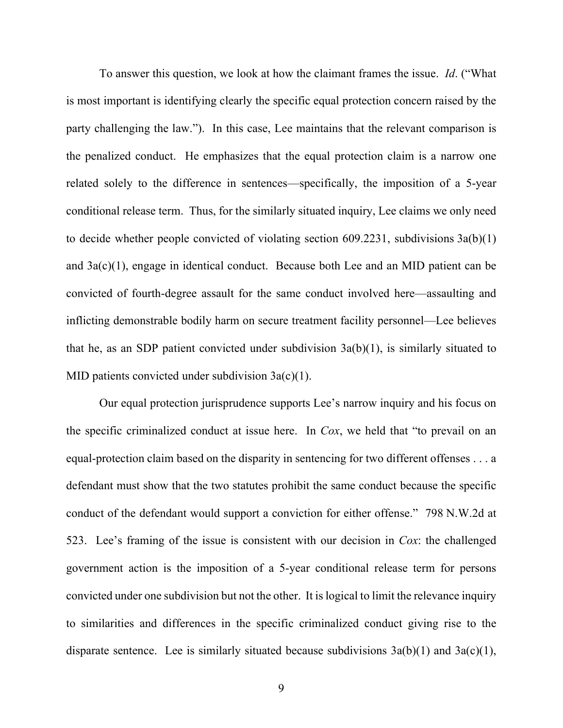To answer this question, we look at how the claimant frames the issue. *Id*. ("What is most important is identifying clearly the specific equal protection concern raised by the party challenging the law."). In this case, Lee maintains that the relevant comparison is the penalized conduct. He emphasizes that the equal protection claim is a narrow one related solely to the difference in sentences—specifically, the imposition of a 5-year conditional release term. Thus, for the similarly situated inquiry, Lee claims we only need to decide whether people convicted of violating section 609.2231, subdivisions 3a(b)(1) and 3a(c)(1), engage in identical conduct.Because both Lee and an MID patient can be convicted of fourth-degree assault for the same conduct involved here—assaulting and inflicting demonstrable bodily harm on secure treatment facility personnel—Lee believes that he, as an SDP patient convicted under subdivision  $3a(b)(1)$ , is similarly situated to MID patients convicted under subdivision  $3a(c)(1)$ .

Our equal protection jurisprudence supports Lee's narrow inquiry and his focus on the specific criminalized conduct at issue here. In *Cox*, we held that "to prevail on an equal-protection claim based on the disparity in sentencing for two different offenses . . . a defendant must show that the two statutes prohibit the same conduct because the specific conduct of the defendant would support a conviction for either offense." 798 N.W.2d at 523. Lee's framing of the issue is consistent with our decision in *Cox*: the challenged government action is the imposition of a 5-year conditional release term for persons convicted under one subdivision but not the other. It is logical to limit the relevance inquiry to similarities and differences in the specific criminalized conduct giving rise to the disparate sentence. Lee is similarly situated because subdivisions  $3a(b)(1)$  and  $3a(c)(1)$ ,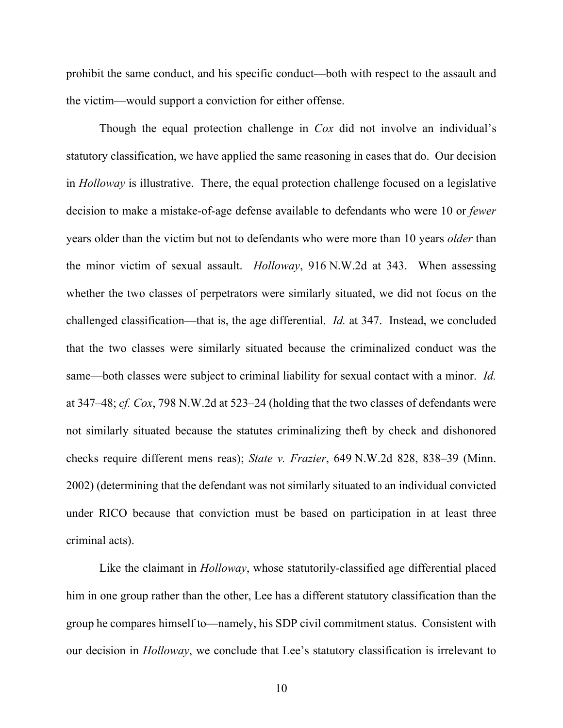prohibit the same conduct, and his specific conduct—both with respect to the assault and the victim—would support a conviction for either offense.

Though the equal protection challenge in *Cox* did not involve an individual's statutory classification, we have applied the same reasoning in cases that do. Our decision in *Holloway* is illustrative. There, the equal protection challenge focused on a legislative decision to make a mistake-of-age defense available to defendants who were 10 or *fewer* years older than the victim but not to defendants who were more than 10 years *older* than the minor victim of sexual assault. *Holloway*, 916 N.W.2d at 343. When assessing whether the two classes of perpetrators were similarly situated, we did not focus on the challenged classification—that is, the age differential. *Id.* at 347. Instead, we concluded that the two classes were similarly situated because the criminalized conduct was the same—both classes were subject to criminal liability for sexual contact with a minor. *Id.*  at 347–48; *cf. Cox*, 798 N.W.2d at 523–24 (holding that the two classes of defendants were not similarly situated because the statutes criminalizing theft by check and dishonored checks require different mens reas); *State v. Frazier*, 649 N.W.2d 828, 838–39 (Minn. 2002) (determining that the defendant was not similarly situated to an individual convicted under RICO because that conviction must be based on participation in at least three criminal acts).

Like the claimant in *Holloway*, whose statutorily-classified age differential placed him in one group rather than the other, Lee has a different statutory classification than the group he compares himself to—namely, his SDP civil commitment status. Consistent with our decision in *Holloway*, we conclude that Lee's statutory classification is irrelevant to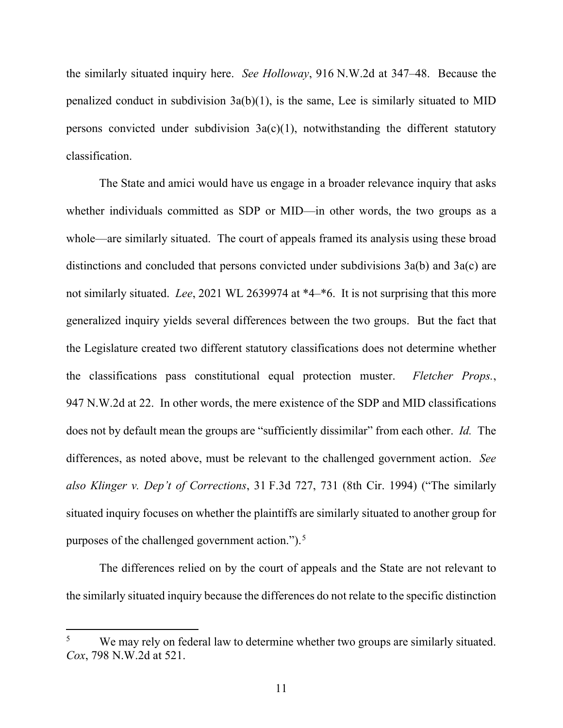the similarly situated inquiry here. *See Holloway*, 916 N.W.2d at 347–48. Because the penalized conduct in subdivision  $3a(b)(1)$ , is the same, Lee is similarly situated to MID persons convicted under subdivision  $3a(c)(1)$ , notwithstanding the different statutory classification.

The State and amici would have us engage in a broader relevance inquiry that asks whether individuals committed as SDP or MID—in other words, the two groups as a whole—are similarly situated. The court of appeals framed its analysis using these broad distinctions and concluded that persons convicted under subdivisions 3a(b) and 3a(c) are not similarly situated. *Lee*, 2021 WL 2639974 at \*4–\*6. It is not surprising that this more generalized inquiry yields several differences between the two groups. But the fact that the Legislature created two different statutory classifications does not determine whether the classifications pass constitutional equal protection muster. *Fletcher Props.*, 947 N.W.2d at 22. In other words, the mere existence of the SDP and MID classifications does not by default mean the groups are "sufficiently dissimilar" from each other. *Id.* The differences, as noted above, must be relevant to the challenged government action. *See also Klinger v. Dep't of Corrections*, 31 F.3d 727, 731 (8th Cir. 1994) ("The similarly situated inquiry focuses on whether the plaintiffs are similarly situated to another group for purposes of the challenged government action.").<sup>[5](#page-10-0)</sup>

The differences relied on by the court of appeals and the State are not relevant to the similarly situated inquiry because the differences do not relate to the specific distinction

<span id="page-10-0"></span><sup>&</sup>lt;sup>5</sup> We may rely on federal law to determine whether two groups are similarly situated. *Cox*, 798 N.W.2d at 521.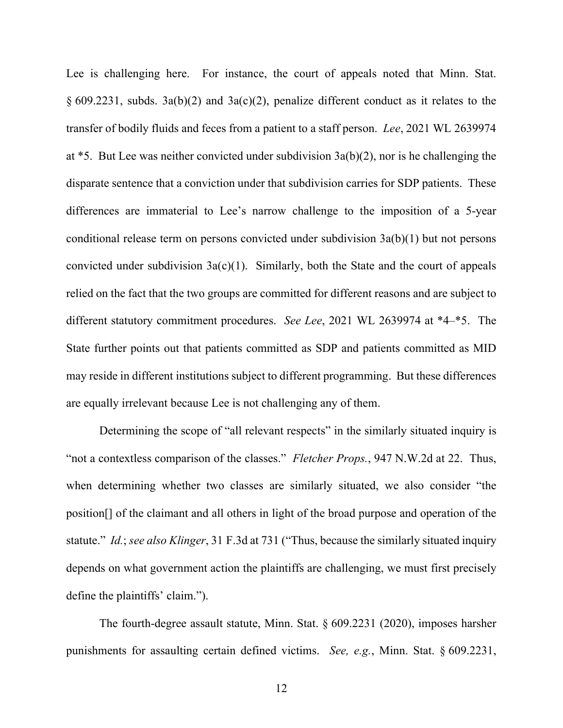Lee is challenging here. For instance, the court of appeals noted that Minn. Stat. § 609.2231, subds. 3a(b)(2) and 3a(c)(2), penalize different conduct as it relates to the transfer of bodily fluids and feces from a patient to a staff person. *Lee*, 2021 WL 2639974 at \*5. But Lee was neither convicted under subdivision 3a(b)(2), nor is he challenging the disparate sentence that a conviction under that subdivision carries for SDP patients. These differences are immaterial to Lee's narrow challenge to the imposition of a 5-year conditional release term on persons convicted under subdivision 3a(b)(1) but not persons convicted under subdivision  $3a(c)(1)$ . Similarly, both the State and the court of appeals relied on the fact that the two groups are committed for different reasons and are subject to different statutory commitment procedures. *See Lee*, 2021 WL 2639974 at \*4–\*5. The State further points out that patients committed as SDP and patients committed as MID may reside in different institutions subject to different programming. But these differences are equally irrelevant because Lee is not challenging any of them.

Determining the scope of "all relevant respects" in the similarly situated inquiry is "not a contextless comparison of the classes." *Fletcher Props.*, 947 N.W.2d at 22. Thus, when determining whether two classes are similarly situated, we also consider "the position[] of the claimant and all others in light of the broad purpose and operation of the statute." *Id.*; *see also Klinger*, 31 F.3d at 731 ("Thus, because the similarly situated inquiry depends on what government action the plaintiffs are challenging, we must first precisely define the plaintiffs' claim.").

The fourth-degree assault statute, Minn. Stat. § 609.2231 (2020), imposes harsher punishments for assaulting certain defined victims. *See, e.g.*, Minn. Stat. § 609.2231,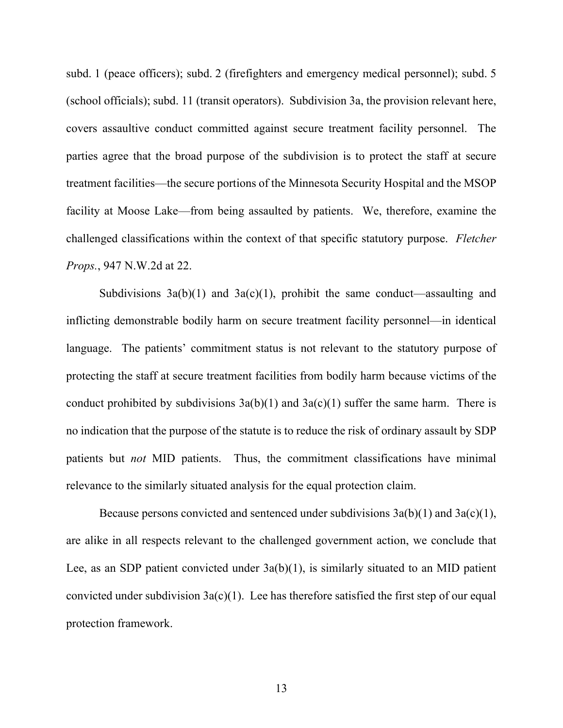subd. 1 (peace officers); subd. 2 (firefighters and emergency medical personnel); subd. 5 (school officials); subd. 11 (transit operators). Subdivision 3a, the provision relevant here, covers assaultive conduct committed against secure treatment facility personnel. The parties agree that the broad purpose of the subdivision is to protect the staff at secure treatment facilities—the secure portions of the Minnesota Security Hospital and the MSOP facility at Moose Lake—from being assaulted by patients. We, therefore, examine the challenged classifications within the context of that specific statutory purpose. *Fletcher Props.*, 947 N.W.2d at 22.

Subdivisions  $3a(b)(1)$  and  $3a(c)(1)$ , prohibit the same conduct—assaulting and inflicting demonstrable bodily harm on secure treatment facility personnel—in identical language. The patients' commitment status is not relevant to the statutory purpose of protecting the staff at secure treatment facilities from bodily harm because victims of the conduct prohibited by subdivisions  $3a(b)(1)$  and  $3a(c)(1)$  suffer the same harm. There is no indication that the purpose of the statute is to reduce the risk of ordinary assault by SDP patients but *not* MID patients. Thus, the commitment classifications have minimal relevance to the similarly situated analysis for the equal protection claim.

Because persons convicted and sentenced under subdivisions  $3a(b)(1)$  and  $3a(c)(1)$ , are alike in all respects relevant to the challenged government action, we conclude that Lee, as an SDP patient convicted under  $3a(b)(1)$ , is similarly situated to an MID patient convicted under subdivision  $3a(c)(1)$ . Lee has therefore satisfied the first step of our equal protection framework.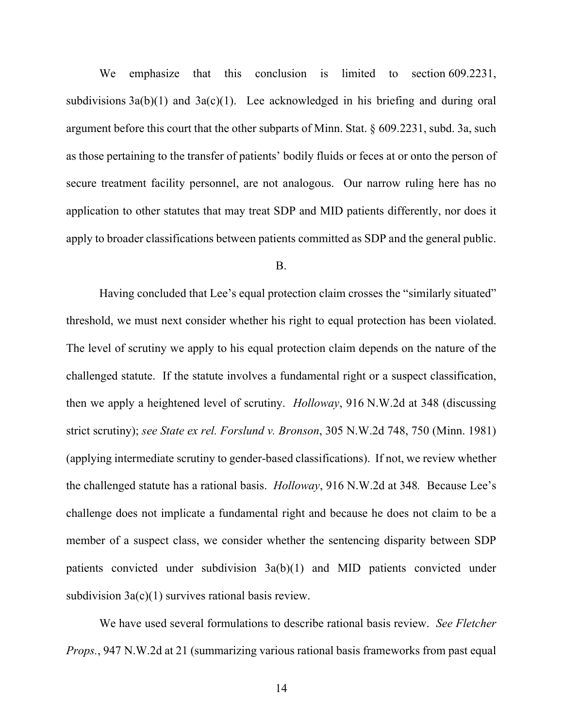We emphasize that this conclusion is limited to section 609.2231, subdivisions  $3a(b)(1)$  and  $3a(c)(1)$ . Lee acknowledged in his briefing and during oral argument before this court that the other subparts of Minn. Stat. § 609.2231, subd. 3a, such as those pertaining to the transfer of patients' bodily fluids or feces at or onto the person of secure treatment facility personnel, are not analogous. Our narrow ruling here has no application to other statutes that may treat SDP and MID patients differently, nor does it apply to broader classifications between patients committed as SDP and the general public.

#### B.

Having concluded that Lee's equal protection claim crosses the "similarly situated" threshold, we must next consider whether his right to equal protection has been violated. The level of scrutiny we apply to his equal protection claim depends on the nature of the challenged statute. If the statute involves a fundamental right or a suspect classification, then we apply a heightened level of scrutiny. *Holloway*, 916 N.W.2d at 348 (discussing strict scrutiny); *see State ex rel. Forslund v. Bronson*, 305 N.W.2d 748, 750 (Minn. 1981) (applying intermediate scrutiny to gender-based classifications). If not, we review whether the challenged statute has a rational basis. *Holloway*, 916 N.W.2d at 348*.* Because Lee's challenge does not implicate a fundamental right and because he does not claim to be a member of a suspect class, we consider whether the sentencing disparity between SDP patients convicted under subdivision 3a(b)(1) and MID patients convicted under subdivision  $3a(c)(1)$  survives rational basis review.

We have used several formulations to describe rational basis review. *See Fletcher Props.*, 947 N.W.2d at 21 (summarizing various rational basis frameworks from past equal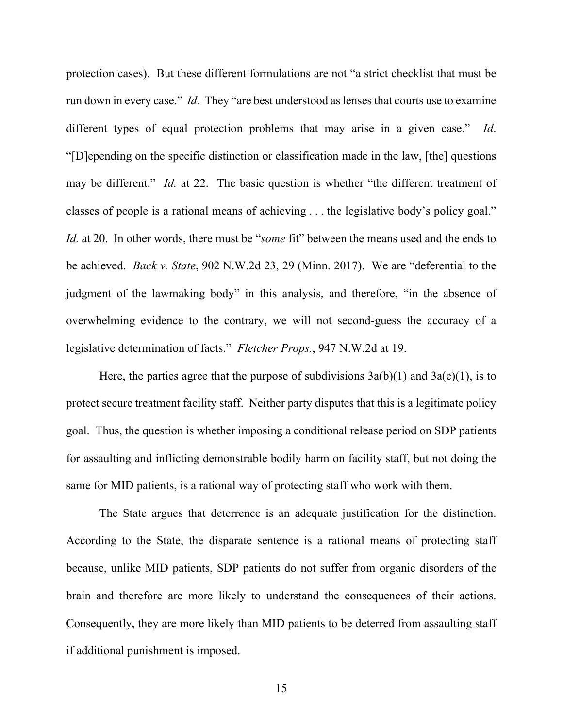protection cases). But these different formulations are not "a strict checklist that must be run down in every case." *Id.* They "are best understood as lenses that courts use to examine different types of equal protection problems that may arise in a given case." *Id*. "[D]epending on the specific distinction or classification made in the law, [the] questions may be different." *Id.* at 22. The basic question is whether "the different treatment of classes of people is a rational means of achieving . . . the legislative body's policy goal." *Id.* at 20. In other words, there must be "*some* fit" between the means used and the ends to be achieved. *Back v. State*, 902 N.W.2d 23, 29 (Minn. 2017). We are "deferential to the judgment of the lawmaking body" in this analysis, and therefore, "in the absence of overwhelming evidence to the contrary, we will not second-guess the accuracy of a legislative determination of facts." *Fletcher Props.*, 947 N.W.2d at 19.

Here, the parties agree that the purpose of subdivisions  $3a(b)(1)$  and  $3a(c)(1)$ , is to protect secure treatment facility staff. Neither party disputes that this is a legitimate policy goal. Thus, the question is whether imposing a conditional release period on SDP patients for assaulting and inflicting demonstrable bodily harm on facility staff, but not doing the same for MID patients, is a rational way of protecting staff who work with them.

The State argues that deterrence is an adequate justification for the distinction. According to the State, the disparate sentence is a rational means of protecting staff because, unlike MID patients, SDP patients do not suffer from organic disorders of the brain and therefore are more likely to understand the consequences of their actions. Consequently, they are more likely than MID patients to be deterred from assaulting staff if additional punishment is imposed.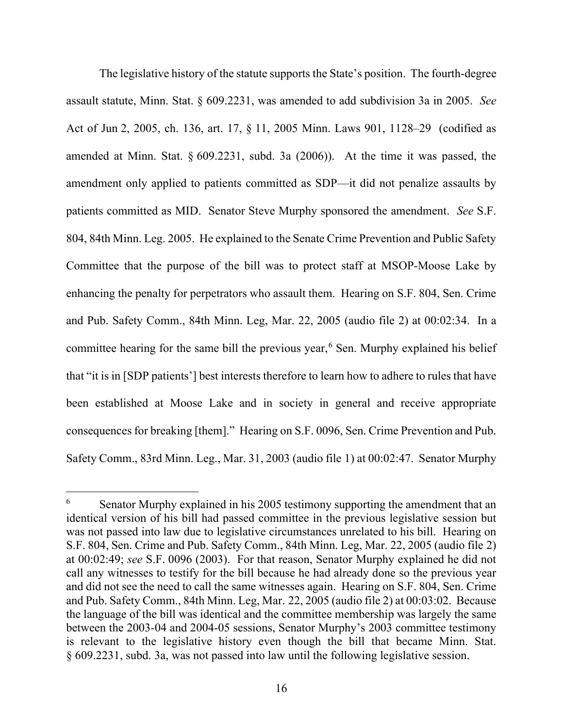The legislative history of the statute supports the State's position. The fourth-degree assault statute, Minn. Stat. § 609.2231, was amended to add subdivision 3a in 2005. *See* Act of Jun 2, 2005, ch. 136, art. 17, § 11, 2005 Minn. Laws 901, 1128–29 (codified as amended at Minn. Stat. § 609.2231, subd. 3a (2006)). At the time it was passed, the amendment only applied to patients committed as SDP—it did not penalize assaults by patients committed as MID. Senator Steve Murphy sponsored the amendment. *See* S.F. 804, 84th Minn. Leg. 2005. He explained to the Senate Crime Prevention and Public Safety Committee that the purpose of the bill was to protect staff at MSOP-Moose Lake by enhancing the penalty for perpetrators who assault them. Hearing on S.F. 804, Sen. Crime and Pub. Safety Comm., 84th Minn. Leg, Mar. 22, 2005 (audio file 2) at 00:02:34. In a committee hearing for the same bill the previous year,<sup>[6](#page-15-0)</sup> Sen. Murphy explained his belief that "it is in [SDP patients'] best interests therefore to learn how to adhere to rules that have been established at Moose Lake and in society in general and receive appropriate consequences for breaking [them]." Hearing on S.F. 0096, Sen. Crime Prevention and Pub. Safety Comm., 83rd Minn. Leg., Mar. 31, 2003 (audio file 1) at 00:02:47. Senator Murphy

<span id="page-15-0"></span> $6$  Senator Murphy explained in his 2005 testimony supporting the amendment that an identical version of his bill had passed committee in the previous legislative session but was not passed into law due to legislative circumstances unrelated to his bill. Hearing on S.F. 804, Sen. Crime and Pub. Safety Comm., 84th Minn. Leg, Mar. 22, 2005 (audio file 2) at 00:02:49; *see* S.F. 0096 (2003). For that reason, Senator Murphy explained he did not call any witnesses to testify for the bill because he had already done so the previous year and did not see the need to call the same witnesses again. Hearing on S.F. 804, Sen. Crime and Pub. Safety Comm., 84th Minn. Leg, Mar. 22, 2005 (audio file 2) at 00:03:02. Because the language of the bill was identical and the committee membership was largely the same between the 2003-04 and 2004-05 sessions, Senator Murphy's 2003 committee testimony is relevant to the legislative history even though the bill that became Minn. Stat. § 609.2231, subd. 3a, was not passed into law until the following legislative session.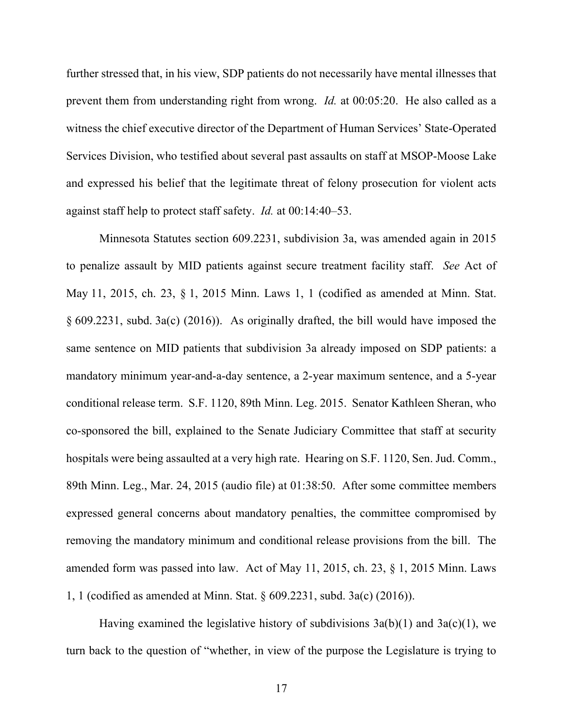further stressed that, in his view, SDP patients do not necessarily have mental illnesses that prevent them from understanding right from wrong. *Id.* at 00:05:20. He also called as a witness the chief executive director of the Department of Human Services' State-Operated Services Division, who testified about several past assaults on staff at MSOP-Moose Lake and expressed his belief that the legitimate threat of felony prosecution for violent acts against staff help to protect staff safety. *Id.* at 00:14:40–53.

Minnesota Statutes section 609.2231, subdivision 3a, was amended again in 2015 to penalize assault by MID patients against secure treatment facility staff. *See* Act of May 11, 2015, ch. 23, § 1, 2015 Minn. Laws 1, 1 (codified as amended at Minn. Stat. § 609.2231, subd. 3a(c) (2016)). As originally drafted, the bill would have imposed the same sentence on MID patients that subdivision 3a already imposed on SDP patients: a mandatory minimum year-and-a-day sentence, a 2-year maximum sentence, and a 5-year conditional release term. S.F. 1120, 89th Minn. Leg. 2015.Senator Kathleen Sheran, who co-sponsored the bill, explained to the Senate Judiciary Committee that staff at security hospitals were being assaulted at a very high rate. Hearing on S.F. 1120, Sen. Jud. Comm., 89th Minn. Leg., Mar. 24, 2015 (audio file) at 01:38:50. After some committee members expressed general concerns about mandatory penalties, the committee compromised by removing the mandatory minimum and conditional release provisions from the bill. The amended form was passed into law. Act of May 11, 2015, ch. 23, § 1, 2015 Minn. Laws 1, 1 (codified as amended at Minn. Stat. § 609.2231, subd. 3a(c) (2016)).

Having examined the legislative history of subdivisions  $3a(b)(1)$  and  $3a(c)(1)$ , we turn back to the question of "whether, in view of the purpose the Legislature is trying to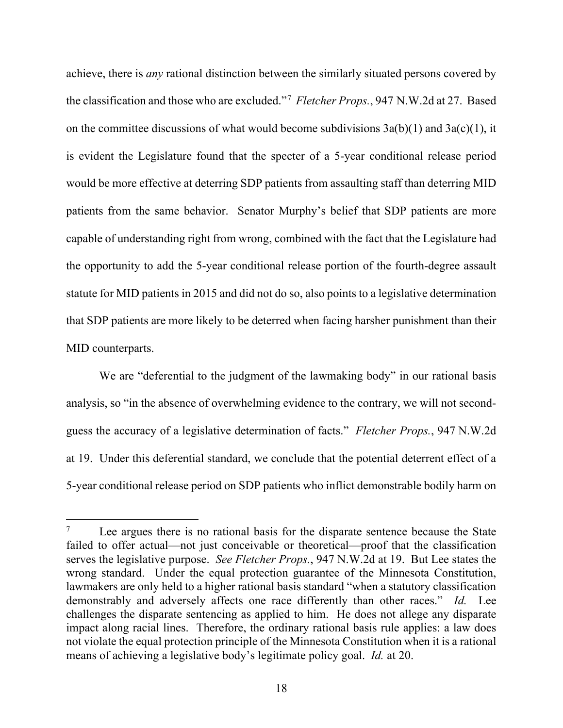achieve, there is *any* rational distinction between the similarly situated persons covered by the classification and those who are excluded."[7](#page-17-0) *Fletcher Props.*, 947 N.W.2d at 27. Based on the committee discussions of what would become subdivisions  $3a(b)(1)$  and  $3a(c)(1)$ , it is evident the Legislature found that the specter of a 5-year conditional release period would be more effective at deterring SDP patients from assaulting staff than deterring MID patients from the same behavior. Senator Murphy's belief that SDP patients are more capable of understanding right from wrong, combined with the fact that the Legislature had the opportunity to add the 5-year conditional release portion of the fourth-degree assault statute for MID patients in 2015 and did not do so, also points to a legislative determination that SDP patients are more likely to be deterred when facing harsher punishment than their MID counterparts.

We are "deferential to the judgment of the lawmaking body" in our rational basis analysis, so "in the absence of overwhelming evidence to the contrary, we will not secondguess the accuracy of a legislative determination of facts." *Fletcher Props.*, 947 N.W.2d at 19. Under this deferential standard, we conclude that the potential deterrent effect of a 5-year conditional release period on SDP patients who inflict demonstrable bodily harm on

<span id="page-17-0"></span>Lee argues there is no rational basis for the disparate sentence because the State failed to offer actual—not just conceivable or theoretical—proof that the classification serves the legislative purpose. *See Fletcher Props.*, 947 N.W.2d at 19. But Lee states the wrong standard. Under the equal protection guarantee of the Minnesota Constitution, lawmakers are only held to a higher rational basis standard "when a statutory classification demonstrably and adversely affects one race differently than other races." *Id.* Lee challenges the disparate sentencing as applied to him. He does not allege any disparate impact along racial lines. Therefore, the ordinary rational basis rule applies: a law does not violate the equal protection principle of the Minnesota Constitution when it is a rational means of achieving a legislative body's legitimate policy goal. *Id.* at 20.